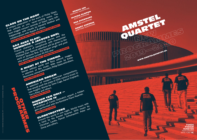

AMSTEL

QUARTET S

 $\circ$ 

[WWW.AMSTELQUARTET.NL](http://www.amstelquartet.nl)

ISTEL JARTE)

> **FONDS PODIUM KUNSTEN PERFORMING** ARTS FUND NL